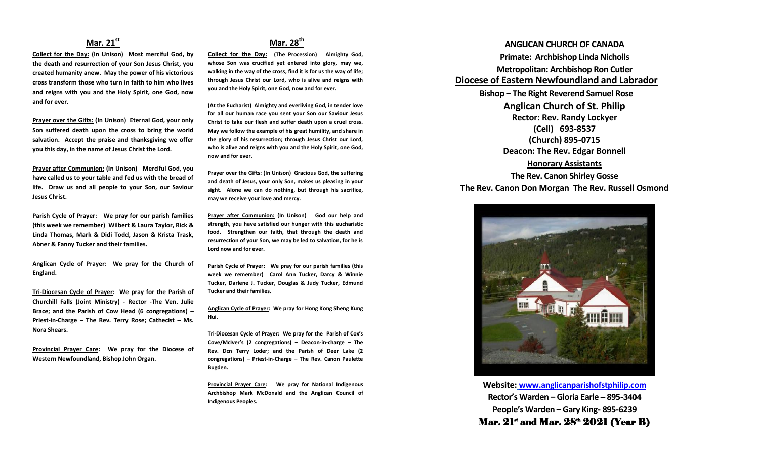### **Mar. 21st**

**Collect for the Day: (In Unison) Most merciful God, by the death and resurrection of your Son Jesus Christ, you created humanity anew. May the power of his victorious cross transform those who turn in faith to him who lives and reigns with you and the Holy Spirit, one God, now and for ever.**

**Prayer over the Gifts: (In Unison) Eternal God, your only Son suffered death upon the cross to bring the world salvation. Accept the praise and thanksgiving we offer you this day, in the name of Jesus Christ the Lord.**

**Prayer after Communion: (In Unison) Merciful God, you have called us to your table and fed us with the bread of life. Draw us and all people to your Son, our Saviour Jesus Christ.**

**Parish Cycle of Prayer: We pray for our parish families (this week we remember) Wilbert & Laura Taylor, Rick & Linda Thomas, Mark & Didi Todd, Jason & Krista Trask, Abner & Fanny Tucker and their families.**

**Anglican Cycle of Prayer: We pray for the Church of England.**

**Tri-Diocesan Cycle of Prayer: We pray for the Parish of Churchill Falls (Joint Ministry) - Rector -The Ven. Julie Brace; and the Parish of Cow Head (6 congregations) – Priest-in-Charge – The Rev. Terry Rose; Cathecist – Ms. Nora Shears.**

**Provincial Prayer Care: We pray for the Diocese of Western Newfoundland, Bishop John Organ.**

## **Mar. 28th**

**Collect for the Day: (The Procession) Almighty God, whose Son was crucified yet entered into glory, may we, walking in the way of the cross, find it is for us the way of life; through Jesus Christ our Lord, who is alive and reigns with you and the Holy Spirit, one God, now and for ever.**

**(At the Eucharist) Almighty and everliving God, in tender love for all our human race you sent your Son our Saviour Jesus Christ to take our flesh and suffer death upon a cruel cross. May we follow the example of his great humility, and share in the glory of his resurrection; through Jesus Christ our Lord, who is alive and reigns with you and the Holy Spirit, one God, now and for ever.** 

**Prayer over the Gifts: (In Unison) Gracious God, the suffering and death of Jesus, your only Son, makes us pleasing in your sight. Alone we can do nothing, but through his sacrifice, may we receive your love and mercy.**

**Prayer after Communion: (In Unison) God our help and strength, you have satisfied our hunger with this eucharistic food. Strengthen our faith, that through the death and resurrection of your Son, we may be led to salvation, for he is Lord now and for ever.**

**Parish Cycle of Prayer: We pray for our parish families (this week we remember) Carol Ann Tucker, Darcy & Winnie Tucker, Darlene J. Tucker, Douglas & Judy Tucker, Edmund Tucker and their families.**

**Anglican Cycle of Prayer: We pray for Hong Kong Sheng Kung Hui.**

**Tri-Diocesan Cycle of Prayer: We pray for the Parish of Cox's Cove/McIver's (2 congregations) – Deacon-in-charge – The Rev. Dcn Terry Loder; and the Parish of Deer Lake (2 congregations) – Priest-in-Charge – The Rev. Canon Paulette Bugden.**

**Provincial Prayer Care: We pray for National Indigenous Archbishop Mark McDonald and the Anglican Council of Indigenous Peoples.**

### **ANGLICAN CHURCH OF CANADA**

**Primate: Archbishop Linda Nicholls Metropolitan: Archbishop Ron Cutler Diocese of Eastern Newfoundland and Labrador Bishop – The Right Reverend Samuel Rose Anglican Church of St. Philip Rector: Rev. Randy Lockyer (Cell) 693-8537 (Church) 895-0715 Deacon: The Rev. Edgar Bonnell Honorary Assistants**

# **The Rev. Canon Shirley Gosse The Rev. Canon Don Morgan The Rev. Russell Osmond**



**Website: [www.anglicanparishofstphilip.com](http://www.anglicanparishofstphilip.com/) Rector's Warden – Gloria Earle – 895-3404 People's Warden – Gary King- 895-6239** Mar.  $21^*$  and Mar.  $28^{\text{th}}$   $2021$  (Year B)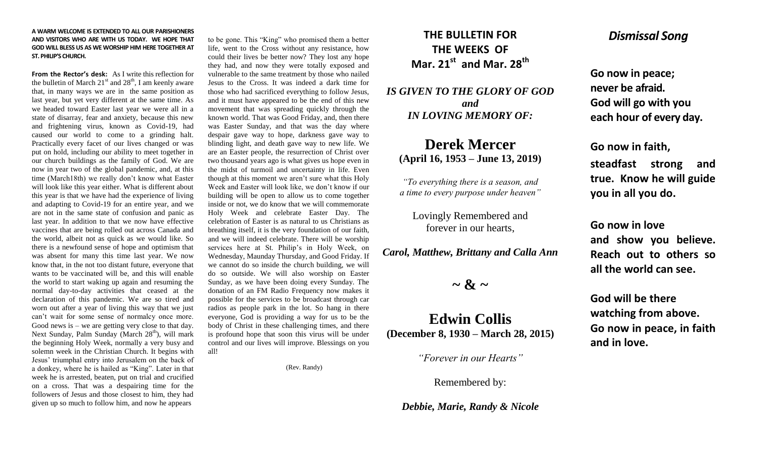#### **A WARM WELCOME IS EXTENDED TO ALL OUR PARISHIONERS AND VISITORS WHO ARE WITH US TODAY. WE HOPE THAT GOD WILL BLESS US AS WE WORSHIP HIM HERE TOGETHER AT ST. PHILIP'S CHURCH.**

**From the Rector's desk:** As I write this reflection for the bulletin of March  $21<sup>st</sup>$  and  $28<sup>th</sup>$ , I am keenly aware that, in many ways we are in the same position as last year, but yet very different at the same time. As we headed toward Easter last year we were all in a state of disarray, fear and anxiety, because this new and frightening virus, known as Covid-19, had caused our world to come to a grinding halt. Practically every facet of our lives changed or was put on hold, including our ability to meet together in our church buildings as the family of God. We are now in year two of the global pandemic, and, at this time (March18th) we really don't know what Easter will look like this year either. What is different about this year is that we have had the experience of living and adapting to Covid-19 for an entire year, and we are not in the same state of confusion and panic as last year. In addition to that we now have effective vaccines that are being rolled out across Canada and the world, albeit not as quick as we would like. So there is a newfound sense of hope and optimism that was absent for many this time last year. We now know that, in the not too distant future, everyone that wants to be vaccinated will be, and this will enable the world to start waking up again and resuming the normal day-to-day activities that ceased at the declaration of this pandemic. We are so tired and worn out after a year of living this way that we just can't wait for some sense of normalcy once more. Good news is – we are getting very close to that day. Next Sunday, Palm Sunday (March  $28<sup>th</sup>$ ), will mark the beginning Holy Week, normally a very busy and solemn week in the Christian Church. It begins with Jesus' triumphal entry into Jerusalem on the back of a donkey, where he is hailed as "King". Later in that week he is arrested, beaten, put on trial and crucified on a cross. That was a despairing time for the followers of Jesus and those closest to him, they had given up so much to follow him, and now he appears

to be gone. This "King" who promised them a better life, went to the Cross without any resistance, how could their lives be better now? They lost any hope they had, and now they were totally exposed and vulnerable to the same treatment by those who nailed Jesus to the Cross. It was indeed a dark time for those who had sacrificed everything to follow Jesus, and it must have appeared to be the end of this new movement that was spreading quickly through the known world. That was Good Friday, and, then there was Easter Sunday, and that was the day where despair gave way to hope, darkness gave way to blinding light, and death gave way to new life. We are an Easter people, the resurrection of Christ over two thousand years ago is what gives us hope even in the midst of turmoil and uncertainty in life. Even though at this moment we aren't sure what this Holy Week and Easter will look like, we don't know if our building will be open to allow us to come together inside or not, we do know that we will commemorate Holy Week and celebrate Easter Day. The celebration of Easter is as natural to us Christians as breathing itself, it is the very foundation of our faith, and we will indeed celebrate. There will be worship services here at St. Philip's in Holy Week, on Wednesday, Maunday Thursday, and Good Friday. If we cannot do so inside the church building, we will do so outside. We will also worship on Easter Sunday, as we have been doing every Sunday. The donation of an FM Radio Frequency now makes it possible for the services to be broadcast through car radios as people park in the lot. So hang in there everyone, God is providing a way for us to be the body of Christ in these challenging times, and there is profound hope that soon this virus will be under control and our lives will improve. Blessings on you all!

(Rev. Randy)

## **THE BULLETIN FOR THE WEEKS OF Mar. 21st and Mar. 28th**

*IS GIVEN TO THE GLORY OF GOD and IN LOVING MEMORY OF:*

## **Derek Mercer (April 16, 1953 – June 13, 2019)**

*"To everything there is a season, and a time to every purpose under heaven"*

Lovingly Remembered and forever in our hearts,

*Carol, Matthew, Brittany and Calla Ann*

 $\sim$  &  $\sim$ 

## **Edwin Collis (December 8, 1930 – March 28, 2015)**

*"Forever in our Hearts"*

Remembered by:

*Debbie, Marie, Randy & Nicole*

## *Dismissal Song*

**Go now in peace; never be afraid. God will go with you each hour of every day.**

**Go now in faith,** 

**steadfast strong and true. Know he will guide you in all you do.**

**Go now in love and show you believe. Reach out to others so all the world can see.**

**God will be there watching from above. Go now in peace, in faith and in love.**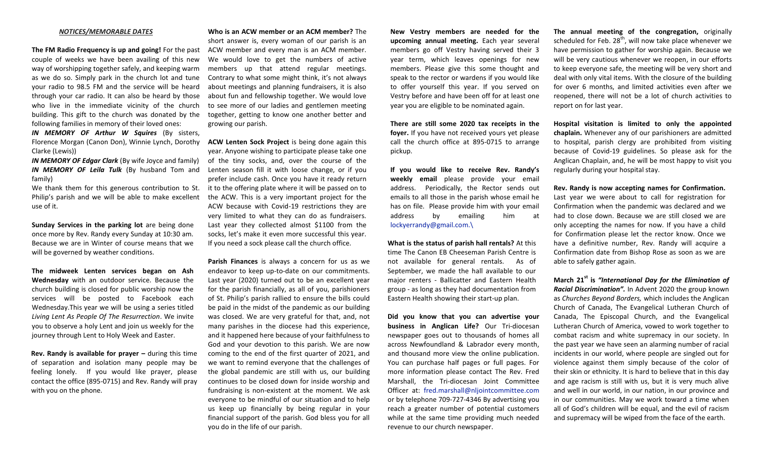#### *NOTICES/MEMORABLE DATES*

**The FM Radio Frequency is up and going!** For the past couple of weeks we have been availing of this new way of worshipping together safely, and keeping warm as we do so. Simply park in the church lot and tune your radio to 98.5 FM and the service will be heard through your car radio. It can also be heard by those who live in the immediate vicinity of the church building. This gift to the church was donated by the following families in memory of their loved ones:

*IN MEMORY OF Arthur W Squires* (By sisters, Florence Morgan (Canon Don), Winnie Lynch, Dorothy **ACW Lenten Sock Project** is being done again this Clarke (Lewis))

*IN MEMORY OF Edgar Clark* (By wife Joyce and family) *IN MEMORY OF Leila Tulk* (By husband Tom and family)

Philip's parish and we will be able to make excellent use of it.

**Sunday Services in the parking lot** are being done once more by Rev. Randy every Sunday at 10:30 am. Because we are in Winter of course means that we will be governed by weather conditions.

**The midweek Lenten services began on Ash Wednesday** with an outdoor service. Because the church building is closed for public worship now the services will be posted to Facebook each Wednesday.This year we will be using a series titled *Living Lent As People Of The Resurrection*. We invite you to observe a holy Lent and join us weekly for the journey through Lent to Holy Week and Easter.

**Rev. Randy is available for prayer –** during this time of separation and isolation many people may be feeling lonely. If you would like prayer, please contact the office (895-0715) and Rev. Randy will pray with you on the phone.

**Who is an ACW member or an ACM member?** The short answer is, every woman of our parish is an ACW member and every man is an ACM member. We would love to get the numbers of active members up that attend regular meetings. Contrary to what some might think, it's not always about meetings and planning fundraisers, it is also about fun and fellowship together. We would love to see more of our ladies and gentlemen meeting together, getting to know one another better and growing our parish.

We thank them for this generous contribution to St. it to the offering plate where it will be passed on to year. Anyone wishing to participate please take one of the tiny socks, and, over the course of the Lenten season fill it with loose change, or if you prefer include cash. Once you have it ready return the ACW. This is a very important project for the ACW because with Covid-19 restrictions they are very limited to what they can do as fundraisers. Last year they collected almost \$1100 from the socks, let's make it even more successful this year. If you need a sock please call the church office.

> **Parish Finances** is always a concern for us as we endeavor to keep up-to-date on our commitments. Last year (2020) turned out to be an excellent year for the parish financially, as all of you, parishioners of St. Philip's parish rallied to ensure the bills could be paid in the midst of the pandemic as our building was closed. We are very grateful for that, and, not many parishes in the diocese had this experience, and it happened here because of your faithfulness to God and your devotion to this parish. We are now coming to the end of the first quarter of 2021, and we want to remind everyone that the challenges of the global pandemic are still with us, our building continues to be closed down for inside worship and fundraising is non-existent at the moment. We ask everyone to be mindful of our situation and to help us keep up financially by being regular in your financial support of the parish. God bless you for all you do in the life of our parish.

**New Vestry members are needed for the upcoming annual meeting.** Each year several members go off Vestry having served their 3 year term, which leaves openings for new members. Please give this some thought and speak to the rector or wardens if you would like to offer yourself this year. If you served on Vestry before and have been off for at least one year you are eligible to be nominated again.

**There are still some 2020 tax receipts in the foyer.** If you have not received yours yet please call the church office at 895-0715 to arrange pickup.

**If you would like to receive Rev. Randy's weekly email** please provide your email address. Periodically, the Rector sends out emails to all those in the parish whose email he has on file. Please provide him with your email address by emailing him at [lockyerrandy@gmail.com.\](mailto:lockyerrandy@gmail.com./)

**What is the status of parish hall rentals?** At this time The Canon EB Cheeseman Parish Centre is not available for general rentals. As of September, we made the hall available to our major renters - Ballicatter and Eastern Health group - as long as they had documentation from Eastern Health showing their start-up plan.

**Did you know that you can advertise your business in Anglican Life?** Our Tri-diocesan newspaper goes out to thousands of homes all across Newfoundland & Labrador every month, and thousand more view the online publication. You can purchase half pages or full pages. For more information please contact The Rev. Fred Marshall, the Tri-diocesan Joint Committee Officer at: [fred.marshall@nljointcommittee.com](mailto:fred.marshall@nljointcommittee.com) or by telephone 709-727-4346 By advertising you reach a greater number of potential customers while at the same time providing much needed revenue to our church newspaper.

**The annual meeting of the congregation,** originally scheduled for Feb.  $28<sup>th</sup>$ , will now take place whenever we have permission to gather for worship again. Because we will be very cautious whenever we reopen, in our efforts to keep everyone safe, the meeting will be very short and deal with only vital items. With the closure of the building for over 6 months, and limited activities even after we reopened, there will not be a lot of church activities to report on for last year.

**Hospital visitation is limited to only the appointed chaplain.** Whenever any of our parishioners are admitted to hospital, parish clergy are prohibited from visiting because of Covid-19 guidelines. So please ask for the Anglican Chaplain, and, he will be most happy to visit you regularly during your hospital stay.

**Rev. Randy is now accepting names for Confirmation.**  Last year we were about to call for registration for Confirmation when the pandemic was declared and we had to close down. Because we are still closed we are only accepting the names for now. If you have a child for Confirmation please let the rector know. Once we have a definitive number, Rev. Randy will acquire a Confirmation date from Bishop Rose as soon as we are able to safely gather again.

**March 21st is** *"International Day for the Elimination of Racial Discrimination".* In Advent 2020 the group known as *Churches Beyond Borders,* which includes the Anglican Church of Canada, The Evangelical Lutheran Church of Canada, The Episcopal Church, and the Evangelical Lutheran Church of America, vowed to work together to combat racism and white supremacy in our society. In the past year we have seen an alarming number of racial incidents in our world, where people are singled out for violence against them simply because of the color of their skin or ethnicity. It is hard to believe that in this day and age racism is still with us, but it is very much alive and well in our world, in our nation, in our province and in our communities. May we work toward a time when all of God's children will be equal, and the evil of racism and supremacy will be wiped from the face of the earth.